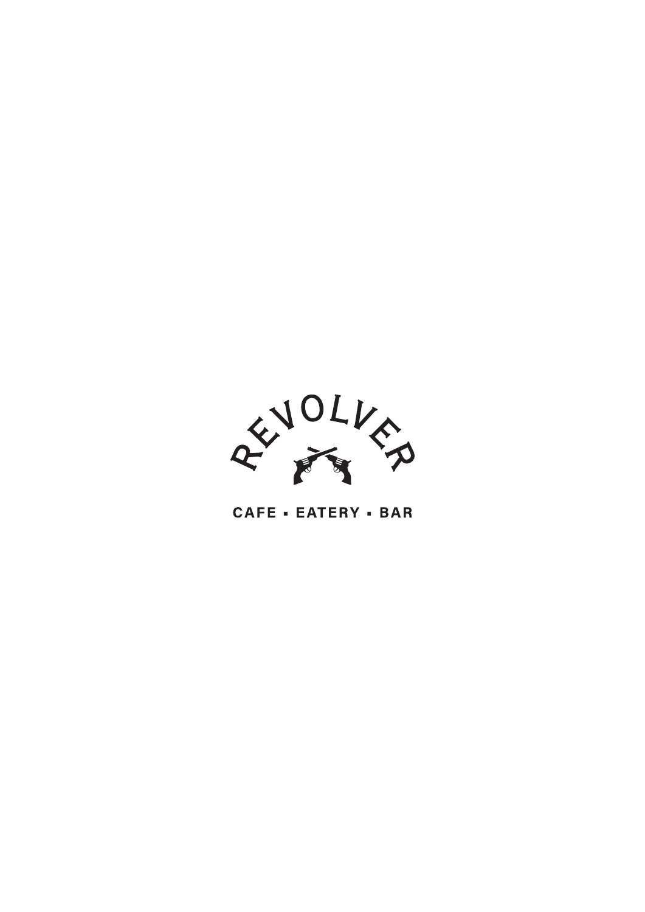

# CAFE - EATERY - BAR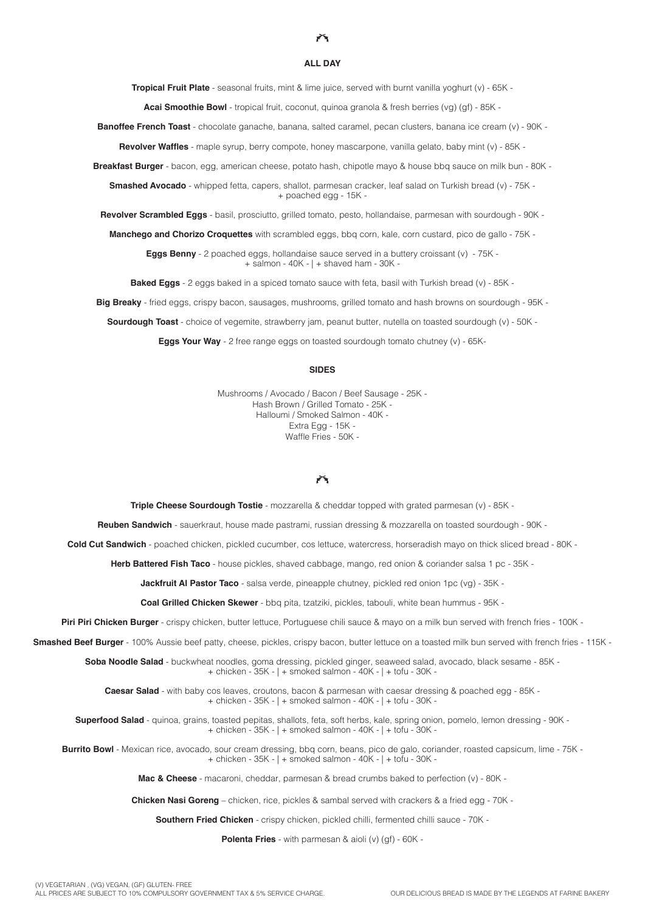#### **ALL DAY**

**Tropical Fruit Plate** - seasonal fruits, mint & lime juice, served with burnt vanilla yoghurt (v) - 65K -

**Acai Smoothie Bowl** - tropical fruit, coconut, quinoa granola & fresh berries (vg) (gf) - 85K -

**Banoffee French Toast** - chocolate ganache, banana, salted caramel, pecan clusters, banana ice cream (v) - 90K -

**Revolver Waffes** - maple syrup, berry compote, honey mascarpone, vanilla gelato, baby mint (v) - 85K -

**Breakfast Burger** - bacon, egg, american cheese, potato hash, chipotle mayo & house bbq sauce on milk bun - 80K -

**Smashed Avocado** - whipped fetta, capers, shallot, parmesan cracker, leaf salad on Turkish bread (v) - 75K - + poached egg - 15K -

**Revolver Scrambled Eggs** - basil, prosciutto, grilled tomato, pesto, hollandaise, parmesan with sourdough - 90K -

**Manchego and Chorizo Croquettes** with scrambled eggs, bbq corn, kale, corn custard, pico de gallo - 75K -

**Eggs Benny** - 2 poached eggs, hollandaise sauce served in a buttery croissant (v) - 75K - + salmon - 40K - | + shaved ham - 30K -

**Baked Eggs** - 2 eggs baked in a spiced tomato sauce with feta, basil with Turkish bread (v) - 85K -

**Big Breaky** - fried eggs, crispy bacon, sausages, mushrooms, grilled tomato and hash browns on sourdough - 95K -

**Sourdough Toast** - choice of vegemite, strawberry jam, peanut butter, nutella on toasted sourdough (v) - 50K -

**Eggs Your Way** - 2 free range eggs on toasted sourdough tomato chutney (y) - 65K-

#### **SIDES**

Mushrooms / Avocado / Bacon / Beef Sausage - 25K - Hash Brown / Grilled Tomato - 25K - Halloumi / Smoked Salmon - 40K - Extra Egg - 15K -Waffle Fries - 50K -

### $\widetilde{r}$

**Triple Cheese Sourdough Tostie** - mozzarella & cheddar topped with grated parmesan (v) - 85K -

**Reuben Sandwich** - sauerkraut, house made pastrami, russian dressing & mozzarella on toasted sourdough - 90K -

**Cold Cut Sandwich** - poached chicken, pickled cucumber, cos lettuce, watercress, horseradish mayo on thick sliced bread - 80K -

**Herb Battered Fish Taco** - house pickles, shaved cabbage, mango, red onion & coriander salsa 1 pc - 35K -

**Jackfruit Al Pastor Taco** - salsa verde, pineapple chutney, pickled red onion 1pc (vg) - 35K -

**Coal Grilled Chicken Skewer** - bbq pita, tzatziki, pickles, tabouli, white bean hummus - 95K -

Piri Piri Chicken Burger - crispy chicken, butter lettuce, Portuguese chili sauce & mayo on a milk bun served with french fries - 100K -

**Smashed Beef Burger** - 100% Aussie beef patty, cheese, pickles, crispy bacon, butter lettuce on a toasted milk bun served with french fries - 115K -

**Soba Noodle Salad** - buckwheat noodles, goma dressing, pickled ginger, seaweed salad, avocado, black sesame - 85K - + chicken - 35K - | + smoked salmon - 40K - | + tofu - 30K -

**Caesar Salad** - with baby cos leaves, croutons, bacon & parmesan with caesar dressing & poached egg - 85K - + chicken - 35K - | + smoked salmon - 40K - | + tofu - 30K -

**Superfood Salad** - quinoa, grains, toasted pepitas, shallots, feta, soft herbs, kale, spring onion, pomelo, lemon dressing - 90K - + chicken - 35K - | + smoked salmon - 40K - | + tofu - 30K -

**Burrito Bowl** - Mexican rice, avocado, sour cream dressing, bbq corn, beans, pico de galo, coriander, roasted capsicum, lime - 75K - + chicken - 35K - | + smoked salmon - 40K - | + tofu - 30K -

**Mac & Cheese** - macaroni, cheddar, parmesan & bread crumbs baked to perfection (v) - 80K -

**Chicken Nasi Goreng** – chicken, rice, pickles & sambal served with crackers & a fried egg - 70K -

**Southern Fried Chicken** - crispy chicken, pickled chilli, fermented chilli sauce - 70K -

**Polenta Fries** - with parmesan & aioli (v) (gf) - 60K -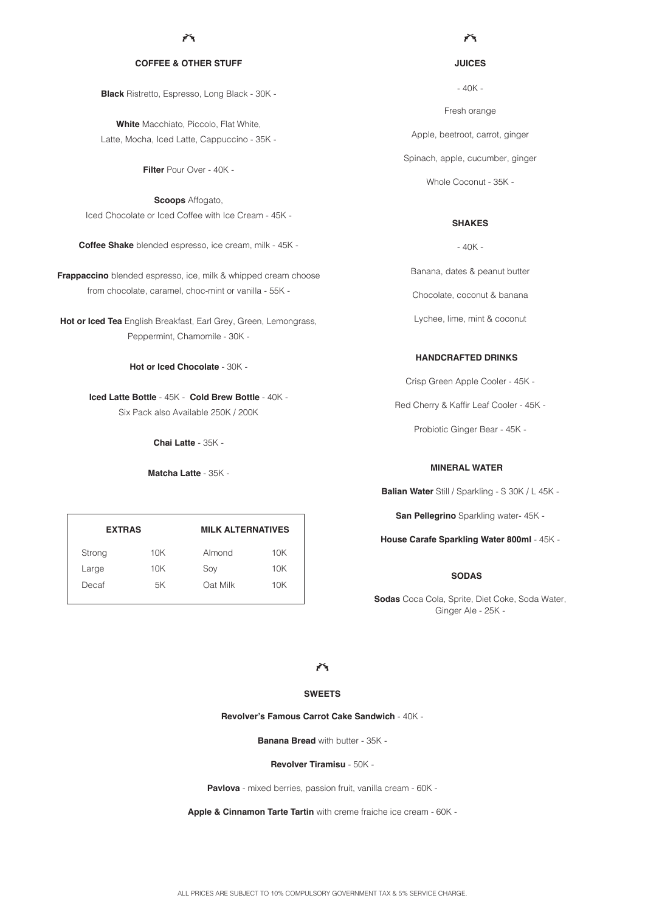#### **COFFEE & OTHER STUFF**

**Black** Ristretto, Espresso, Long Black - 30K -

**White** Macchiato, Piccolo, Flat White, Latte, Mocha, Iced Latte, Cappuccino - 35K -

**Filter** Pour Over - 40K -

**Scoops** Affogato, Iced Chocolate or Iced Coffee with Ice Cream - 45K -

**Coffee Shake** blended espresso, ice cream, milk - 45K -

**Frappaccino** blended espresso, ice, milk & whipped cream choose from chocolate, caramel, choc-mint or vanilla - 55K -

**Hot or Iced Tea** English Breakfast, Earl Grey, Green, Lemongrass, Peppermint, Chamomile - 30K -

**Hot or Iced Chocolate** - 30K -

**Iced Latte Bottle** - 45K - **Cold Brew Bottle** - 40K - Six Pack also Available 250K / 200K

**Chai Latte** - 35K -

**Matcha Latte** - 35K -

| <b>EXTRAS</b> |     | <b>MILK ALTERNATIVES</b> |     |
|---------------|-----|--------------------------|-----|
| Strong        | 10K | Almond                   | 10K |
| Large         | 10K | Soy                      | 10K |
| Decaf         | 5K  | Oat Milk                 | 10K |

ň

**JUICES**

Fresh orange Apple, beetroot, carrot, ginger Spinach, apple, cucumber, ginger Whole Coconut - 35K - - 40K -

# **SHAKES**

 $-40K -$ 

Banana, dates & peanut butter Chocolate, coconut & banana Lychee, lime, mint & coconut

## **HANDCRAFTED DRINKS**

Crisp Green Apple Cooler - 45K -

Red Cherry & Kaffir Leaf Cooler - 45K -

Probiotic Ginger Bear - 45K -

# **MINERAL WATER**

**Balian Water** Still / Sparkling - S 30K / L 45K -

**San Pellegrino** Sparkling water- 45K -

**House Carafe Sparkling Water 800ml** - 45K -

# **SODAS**

**Sodas** Coca Cola, Sprite, Diet Coke, Soda Water, Ginger Ale - 25K -

 $\mathcal{F}_{\mathbf{X}}$ 

# **SWEETS**

**Revolver's Famous Carrot Cake Sandwich** - 40K -

**Banana Bread** with butter - 35K -

**Revolver Tiramisu** - 50K -

**Pavlova** - mixed berries, passion fruit, vanilla cream - 60K -

**Apple & Cinnamon Tarte Tartin** with creme fraiche ice cream - 60K -

ALL PRICES ARE SUBJECT TO 10% COMPULSORY GOVERNMENT TAX & 5% SERVICE CHARGE.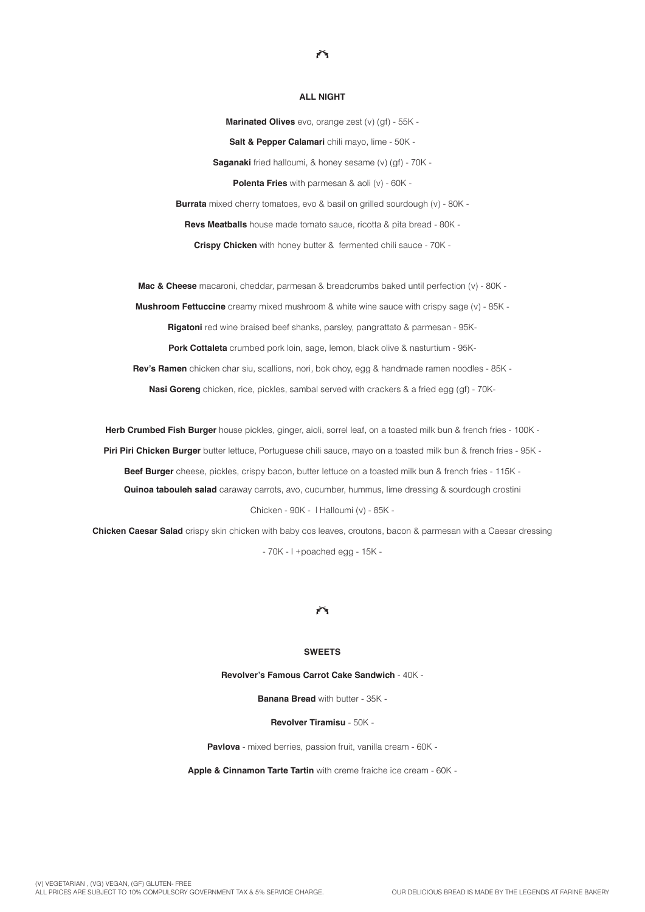#### **ALL NIGHT**

ñ

**Marinated Olives** evo, orange zest (v) (gf) - 55K - **Salt & Pepper Calamari** chili mayo, lime - 50K - **Saganaki** fried halloumi, & honey sesame (v) (gf) - 70K - **Polenta Fries** with parmesan & aoli (v) - 60K - **Burrata** mixed cherry tomatoes, evo & basil on grilled sourdough (v) - 80K -**Revs Meatballs** house made tomato sauce, ricotta & pita bread - 80K -

**Crispy Chicken** with honey butter & fermented chili sauce - 70K -

**Mac & Cheese** macaroni, cheddar, parmesan & breadcrumbs baked until perfection (v) - 80K -

**Mushroom Fettuccine** creamy mixed mushroom & white wine sauce with crispy sage (v) - 85K -

**Rigatoni** red wine braised beef shanks, parsley, pangrattato & parmesan - 95K-

**Pork Cottaleta** crumbed pork loin, sage, lemon, black olive & nasturtium - 95K-

**Rev's Ramen** chicken char siu, scallions, nori, bok choy, egg & handmade ramen noodles - 85K - **Nasi Goreng** chicken, rice, pickles, sambal served with crackers & a fried egg (gf) - 70K-

**Herb Crumbed Fish Burger** house pickles, ginger, aioli, sorrel leaf, on a toasted milk bun & french fries - 100K - **Piri Piri Chicken Burger** butter lettuce, Portuguese chili sauce, mayo on a toasted milk bun & french fries - 95K - **Beef Burger** cheese, pickles, crispy bacon, butter lettuce on a toasted milk bun & french fries - 115K - **Quinoa tabouleh salad** caraway carrots, avo, cucumber, hummus, lime dressing & sourdough crostini Chicken - 90K - | Halloumi (v) - 85K -

**Chicken Caesar Salad** crispy skin chicken with baby cos leaves, croutons, bacon & parmesan with a Caesar dressing - 70K - | +poached egg - 15K -

# ñ

#### **SWEETS**

**Revolver's Famous Carrot Cake Sandwich** - 40K -

**Banana Bread** with butter - 35K -

#### **Revolver Tiramisu** - 50K -

**Pavlova** - mixed berries, passion fruit, vanilla cream - 60K -

**Apple & Cinnamon Tarte Tartin** with creme fraiche ice cream - 60K -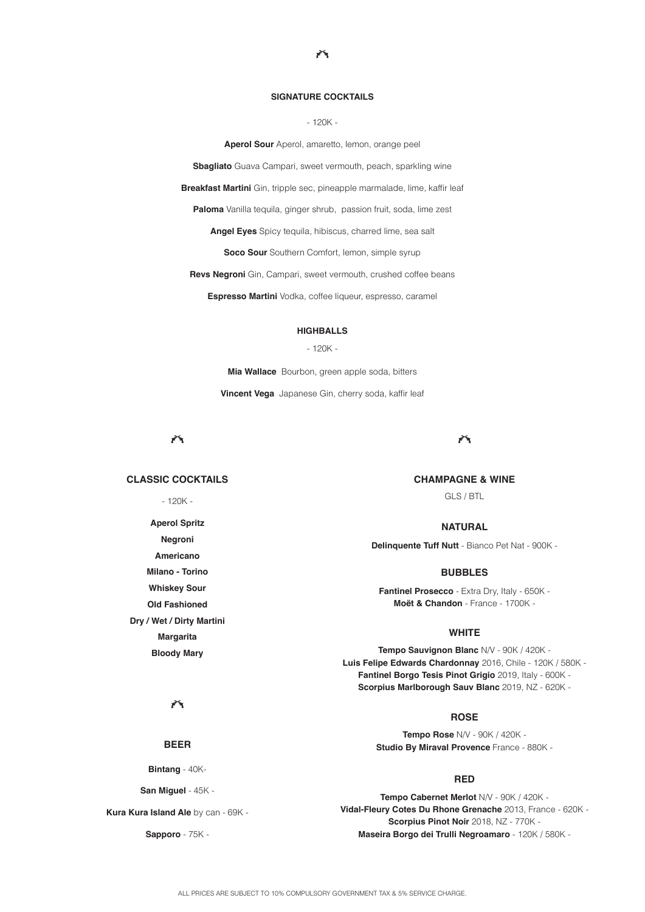#### **SIGNATURE COCKTAILS**

ň

- 120K -

**Aperol Sour** Aperol, amaretto, lemon, orange peel

**Sbagliato** Guava Campari, sweet vermouth, peach, sparkling wine

**Breakfast Martini** Gin, tripple sec, pineapple marmalade, lime, kaffir leaf

**Paloma** Vanilla tequila, ginger shrub, passion fruit, soda, lime zest

**Angel Eyes** Spicy tequila, hibiscus, charred lime, sea salt

**Soco Sour** Southern Comfort, lemon, simple syrup

**Revs Negroni** Gin, Campari, sweet vermouth, crushed coffee beans

**Espresso Martini** Vodka, coffee liqueur, espresso, caramel

#### **HIGHBALLS**

#### - 120K -

**Mia Wallace** Bourbon, green apple soda, bitters

**Vincent Vega** Japanese Gin, cherry soda, kaffir leaf

ň

# **CLASSIC COCKTAILS**

- 120K -

**Aperol Spritz Negroni Americano Milano - Torino Whiskey Sour Old Fashioned Dry / Wet / Dirty Martini Margarita Bloody Mary**

六

## **CHAMPAGNE & WINE**

GLS / BTL

# **NATURAL**

**Delinquente Tuff Nutt** - Bianco Pet Nat - 900K -

### **BUBBLES**

**Fantinel Prosecco** - Extra Dry, Italy - 650K - **Moët & Chandon** - France - 1700K -

#### **WHITE**

**Tempo Sauvignon Blanc** N/V - 90K / 420K - **Luis Felipe Edwards Chardonnay** 2016, Chile - 120K / 580K - **Fantinel Borgo Tesis Pinot Grigio** 2019, Italy - 600K - **Scorpius Marlborough Sauv Blanc** 2019, NZ - 620K -

# **ROSE**

**Tempo Rose** N/V - 90K / 420K - **Studio By Miraval Provence** France - 880K -

#### **RED**

**Tempo Cabernet Merlot** N/V - 90K / 420K - **Vidal-Fleury Cotes Du Rhone Grenache** 2013, France - 620K - **Scorpius Pinot Noir** 2018, NZ - 770K - **Maseira Borgo dei Trulli Negroamaro** - 120K / 580K -

 $\widetilde{r}$ 

**BEER**

**Bintang** - 40K-

**San Miguel** - 45K -

**Kura Kura Island Ale** by can - 69K -

**Sapporo** - 75K -